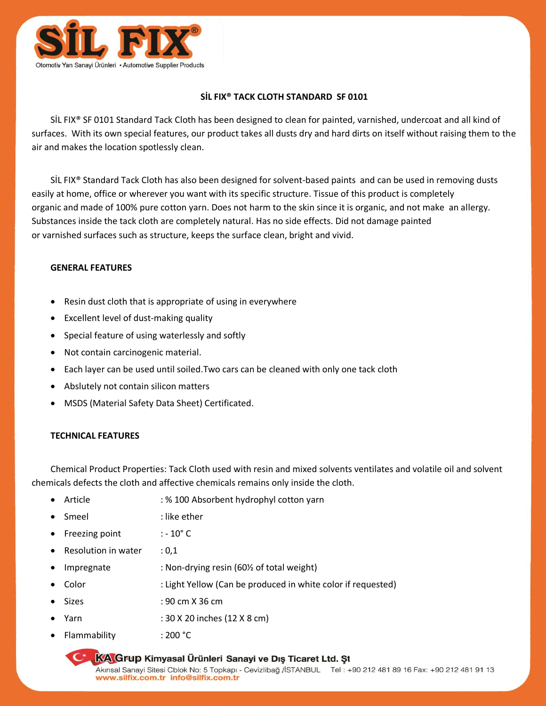

# **SİL FIX® TACK CLOTH STANDARD SF 0101**

SİL FIX® SF 0101 Standard Tack Cloth has been designed to clean for painted, varnished, undercoat and all kind of surfaces. With its own special features, our product takes all dusts dry and hard dirts on itself without raising them to the air and makes the location spotlessly clean.

SİL FIX® Standard Tack Cloth has also been designed for solvent-based paints and can be used in removing dusts easily at home, office or wherever you want with its specific structure. Tissue of this product is completely organic and made of 100% pure cotton yarn. Does not harm to the skin since it is organic, and not make an allergy. Substances inside the tack cloth are completely natural. Has no side effects. Did not damage painted or varnished surfaces such as structure, keeps the surface clean, bright and vivid.

### **GENERAL FEATURES**

- Resin dust cloth that is appropriate of using in everywhere
- Excellent level of dust-making quality
- Special feature of using waterlessly and softly
- Not contain carcinogenic material.
- Each layer can be used until soiled.Two cars can be cleaned with only one tack cloth
- Abslutely not contain silicon matters
- MSDS (Material Safety Data Sheet) Certificated.

### **TECHNICAL FEATURES**

Chemical Product Properties: Tack Cloth used with resin and mixed solvents ventilates and volatile oil and solvent chemicals defects the cloth and affective chemicals remains only inside the cloth.

- Article : % 100 Absorbent hydrophyl cotton yarn
- Smeel : like ether
- Freezing point  $: -10^{\circ}$  C
- Resolution in water : 0.1
- Impregnate : Non-drying resin (60½ of total weight)
- Color : Light Yellow (Can be produced in white color if requested)
- Sizes : 90 cm X 36 cm
- Yarn : 30 X 20 inches (12 X 8 cm)
- Flammability : 200 °C

#### **KA Grup Kimyasal Ürünleri Sanayi ve Dış Ticaret Ltd. St**

Akınsal Sanayi Sitesi Cblok No: 5 Topkapı - Cevizlibağ /İSTANBUL Tel: +90 212 481 89 16 Fax: +90 212 481 91 13 www.silfix.com.tr info@silfix.com.tr